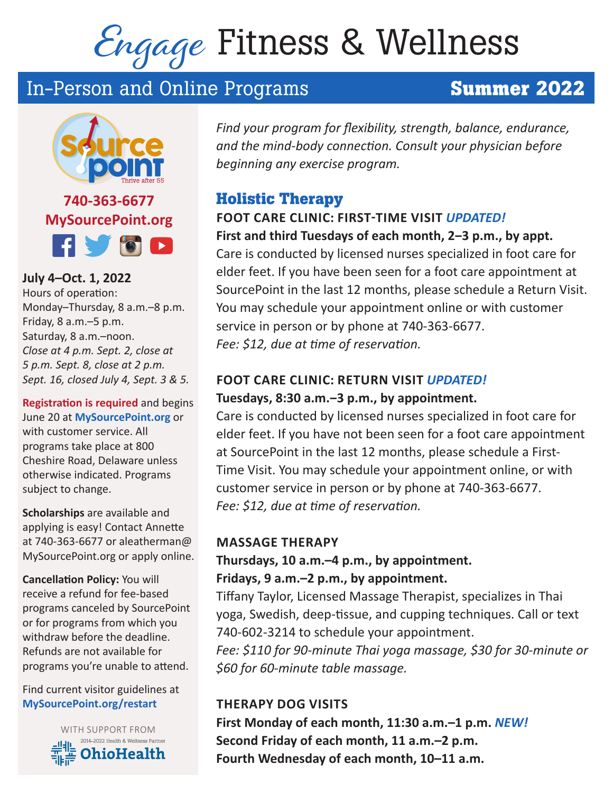# Engage Fitness & Wellness

## In-Person and Online Programs **Summer 2022**



**740-363-6677 MySourcePoint.org Hydd** 

**July 4–Oct. 1, 2022**  Hours of operation: Monday–Thursday, 8 a.m.–8 p.m. Friday, 8 a.m.–5 p.m. Saturday, 8 a.m.–noon. *Close at 4 p.m. Sept. 2, close at 5 p.m. Sept. 8, close at 2 p.m. Sept. 16, closed July 4, Sept. 3 & 5.*

**Registration is required** and begins June 20 at **MySourcePoint.org** or with customer service. All programs take place at 800 Cheshire Road, Delaware unless otherwise indicated. Programs subject to change.

**Scholarships** are available and applying is easy! Contact Annette at 740-363-6677 or aleatherman@ MySourcePoint.org or apply online.

**Cancellation Policy:** You will receive a refund for fee-based programs canceled by SourcePoint or for programs from which you withdraw before the deadline. Refunds are not available for programs you're unable to attend.

Find current visitor guidelines at **MySourcePoint.org/restart**



*Find your program for flexibility, strength, balance, endurance, and the mind-body connection. Consult your physician before beginning any exercise program.* 

### **Holistic Therapy**

### **FOOT CARE CLINIC: FIRST-TIME VISIT** *UPDATED!* **First and third Tuesdays of each month, 2‒3 p.m., by appt.**

Care is conducted by licensed nurses specialized in foot care for elder feet. If you have been seen for a foot care appointment at SourcePoint in the last 12 months, please schedule a Return Visit. You may schedule your appointment online or with customer service in person or by phone at 740-363-6677. *Fee: \$12, due at time of reservation.*

### **FOOT CARE CLINIC: RETURN VISIT** *UPDATED!* **Tuesdays, 8:30 a.m.‒3 p.m., by appointment.**

Care is conducted by licensed nurses specialized in foot care for elder feet. If you have not been seen for a foot care appointment at SourcePoint in the last 12 months, please schedule a First-Time Visit. You may schedule your appointment online, or with customer service in person or by phone at 740-363-6677. *Fee: \$12, due at time of reservation.*

### **MASSAGE THERAPY**

### **Thursdays, 10 a.m.–4 p.m., by appointment. Fridays, 9 a.m.–2 p.m., by appointment.**

Tiffany Taylor, Licensed Massage Therapist, specializes in Thai yoga, Swedish, deep-tissue, and cupping techniques. Call or text 740-602-3214 to schedule your appointment.

*Fee: \$110 for 90-minute Thai yoga massage, \$30 for 30-minute or \$60 for 60-minute table massage.*

### **THERAPY DOG VISITS**

**First Monday of each month, 11:30 a.m.–1 p.m.** *NEW!* **Second Friday of each month, 11 a.m.–2 p.m. Fourth Wednesday of each month, 10–11 a.m.**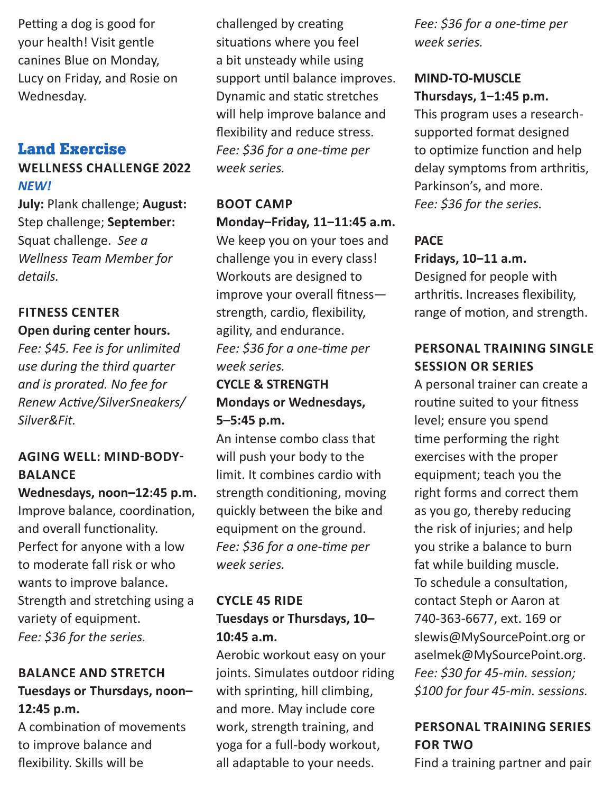Petting a dog is good for your health! Visit gentle canines Blue on Monday, Lucy on Friday, and Rosie on Wednesday.

### **Land Exercise**

### **WELLNESS CHALLENGE 2022**  *NEW!*

**July:** Plank challenge; **August:** Step challenge; **September:**  Squat challenge. *See a Wellness Team Member for details.*

#### **FITNESS CENTER Open during center hours.**

*Fee: \$45. Fee is for unlimited use during the third quarter and is prorated. No fee for Renew Active/SilverSneakers/ Silver&Fit.* 

### **AGING WELL: MIND-BODY-BALANCE**

**Wednesdays, noon–12:45 p.m.** Improve balance, coordination, and overall functionality. Perfect for anyone with a low to moderate fall risk or who wants to improve balance. Strength and stretching using a variety of equipment. *Fee: \$36 for the series.*

### **BALANCE AND STRETCH Tuesdays or Thursdays, noon– 12:45 p.m.**

A combination of movements to improve balance and flexibility. Skills will be

challenged by creating situations where you feel a bit unsteady while using support until balance improves. Dynamic and static stretches will help improve balance and flexibility and reduce stress. *Fee: \$36 for a one-time per week series.*

### **BOOT CAMP Monday‒Friday, 11‒11:45 a.m.**

We keep you on your toes and challenge you in every class! Workouts are designed to improve your overall fitness strength, cardio, flexibility, agility, and endurance. *Fee: \$36 for a one-time per week series.*

### **CYCLE & STRENGTH Mondays or Wednesdays, 5–5:45 p.m.**

An intense combo class that will push your body to the limit. It combines cardio with strength conditioning, moving quickly between the bike and equipment on the ground. *Fee: \$36 for a one-time per week series.*

### **CYCLE 45 RIDE Tuesdays or Thursdays, 10– 10:45 a.m.**

Aerobic workout easy on your joints. Simulates outdoor riding with sprinting, hill climbing, and more. May include core work, strength training, and yoga for a full-body workout, all adaptable to your needs.

*Fee: \$36 for a one-time per week series.*

### **MIND-TO-MUSCLE Thursdays, 1‒1:45 p.m.**

This program uses a researchsupported format designed to optimize function and help delay symptoms from arthritis, Parkinson's, and more. *Fee: \$36 for the series.*

### **PACE Fridays, 10‒11 a.m.**

Designed for people with arthritis. Increases flexibility, range of motion, and strength.

### **PERSONAL TRAINING SINGLE SESSION OR SERIES**

A personal trainer can create a routine suited to your fitness level; ensure you spend time performing the right exercises with the proper equipment; teach you the right forms and correct them as you go, thereby reducing the risk of injuries; and help you strike a balance to burn fat while building muscle. To schedule a consultation, contact Steph or Aaron at 740-363-6677, ext. 169 or slewis@MySourcePoint.org or aselmek@MySourcePoint.org. *Fee: \$30 for 45-min. session; \$100 for four 45-min. sessions.*

### **PERSONAL TRAINING SERIES FOR TWO**

Find a training partner and pair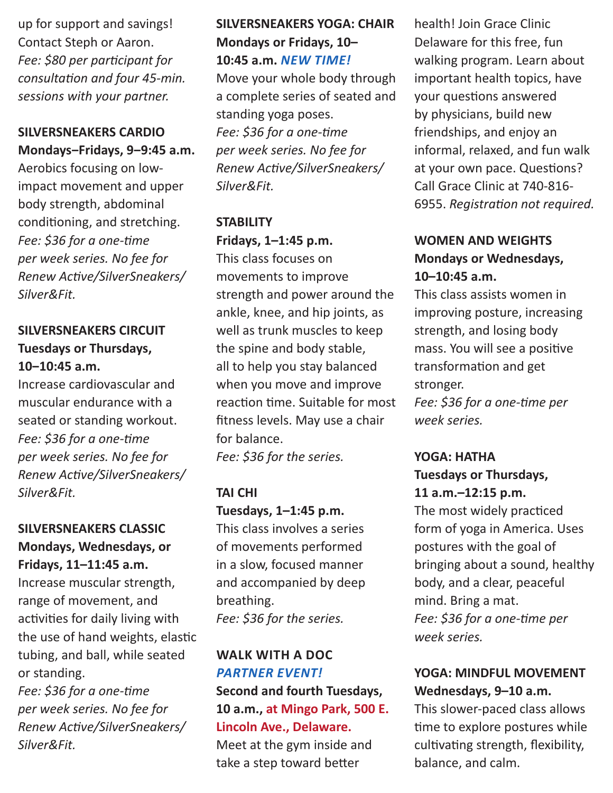up for support and savings! Contact Steph or Aaron. *Fee: \$80 per participant for consultation and four 45-min. sessions with your partner.*

### **SILVERSNEAKERS CARDIO Mondays‒Fridays, 9‒9:45 a.m.**

Aerobics focusing on lowimpact movement and upper body strength, abdominal conditioning, and stretching. *Fee: \$36 for a one-time per week series. No fee for Renew Active/SilverSneakers/ Silver&Fit.*

### **SILVERSNEAKERS CIRCUIT Tuesdays or Thursdays, 10‒10:45 a.m.**

Increase cardiovascular and muscular endurance with a seated or standing workout. *Fee: \$36 for a one-time per week series. No fee for Renew Active/SilverSneakers/ Silver&Fit.*

### **SILVERSNEAKERS CLASSIC Mondays, Wednesdays, or Fridays, 11–11:45 a.m.**

Increase muscular strength, range of movement, and activities for daily living with the use of hand weights, elastic tubing, and ball, while seated or standing.

*Fee: \$36 for a one-time per week series. No fee for Renew Active/SilverSneakers/ Silver&Fit.*

### **SILVERSNEAKERS YOGA: CHAIR Mondays or Fridays, 10– 10:45 a.m.** *NEW TIME!*

Move your whole body through a complete series of seated and standing yoga poses. *Fee: \$36 for a one-time per week series. No fee for Renew Active/SilverSneakers/ Silver&Fit.*

### **STABILITY Fridays, 1–1:45 p.m.**

This class focuses on movements to improve strength and power around the ankle, knee, and hip joints, as well as trunk muscles to keep the spine and body stable, all to help you stay balanced when you move and improve reaction time. Suitable for most fitness levels. May use a chair for balance.

*Fee: \$36 for the series.* 

### **TAI CHI**

### **Tuesdays, 1–1:45 p.m.**

This class involves a series of movements performed in a slow, focused manner and accompanied by deep breathing. *Fee: \$36 for the series.*

### **WALK WITH A DOC**  *PARTNER EVENT!* **Second and fourth Tuesdays, 10 a.m., at Mingo Park, 500 E. Lincoln Ave., Delaware.**

Meet at the gym inside and take a step toward better

health! Join Grace Clinic Delaware for this free, fun walking program. Learn about important health topics, have your questions answered by physicians, build new friendships, and enjoy an informal, relaxed, and fun walk at your own pace. Questions? Call Grace Clinic at 740-816- 6955. *Registration not required.*

### **WOMEN AND WEIGHTS Mondays or Wednesdays, 10–10:45 a.m.**

This class assists women in improving posture, increasing strength, and losing body mass. You will see a positive transformation and get stronger.

*Fee: \$36 for a one-time per week series.*

### **YOGA: HATHA Tuesdays or Thursdays, 11 a.m.–12:15 p.m.**

The most widely practiced form of yoga in America. Uses postures with the goal of bringing about a sound, healthy body, and a clear, peaceful mind. Bring a mat. *Fee: \$36 for a one-time per week series.*

### **YOGA: MINDFUL MOVEMENT Wednesdays, 9–10 a.m.**

This slower-paced class allows time to explore postures while cultivating strength, flexibility, balance, and calm.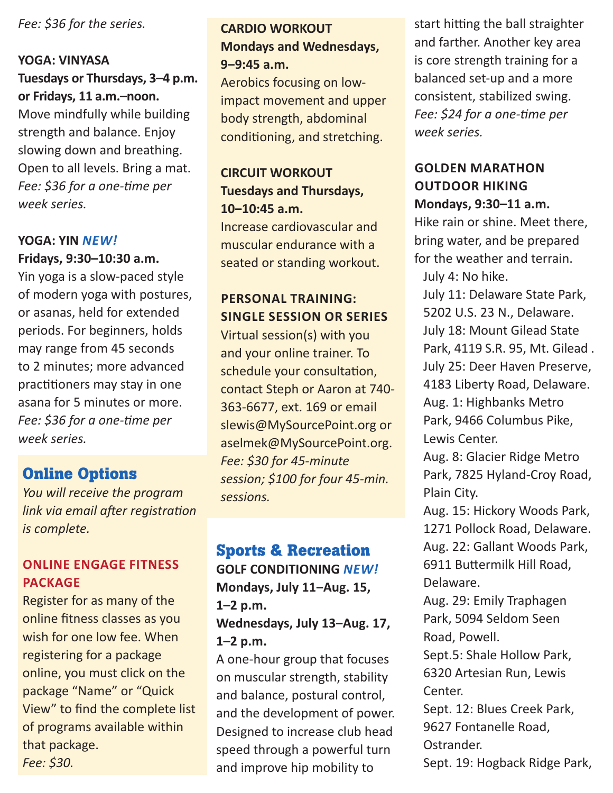*Fee: \$36 for the series.* 

#### **YOGA: VINYASA**

**Tuesdays or Thursdays, 3–4 p.m. or Fridays, 11 a.m.–noon.** Move mindfully while building strength and balance. Enjoy slowing down and breathing. Open to all levels. Bring a mat. *Fee: \$36 for a one-time per week series.*

### **YOGA: YIN** *NEW!*  **Fridays, 9:30–10:30 a.m.**

Yin yoga is a slow-paced style of modern yoga with postures, or asanas, held for extended periods. For beginners, holds may range from 45 seconds to 2 minutes; more advanced practitioners may stay in one asana for 5 minutes or more. *Fee: \$36 for a one-time per week series.*

### **Online Options**

*You will receive the program link via email after registration is complete.*

### **ONLINE ENGAGE FITNESS PACKAGE**

Register for as many of the online fitness classes as you wish for one low fee. When registering for a package online, you must click on the package "Name" or "Quick View" to find the complete list of programs available within that package. *Fee: \$30.* 

### **CARDIO WORKOUT Mondays and Wednesdays, 9‒9:45 a.m.**

Aerobics focusing on lowimpact movement and upper body strength, abdominal conditioning, and stretching.

### **CIRCUIT WORKOUT Tuesdays and Thursdays, 10‒10:45 a.m.**

Increase cardiovascular and muscular endurance with a seated or standing workout.

### **PERSONAL TRAINING: SINGLE SESSION OR SERIES**

Virtual session(s) with you and your online trainer. To schedule your consultation, contact Steph or Aaron at 740- 363-6677, ext. 169 or email slewis@MySourcePoint.org or aselmek@MySourcePoint.org. *Fee: \$30 for 45-minute session; \$100 for four 45-min. sessions.*

### **Sports & Recreation**

**GOLF CONDITIONING** *NEW!*  **Mondays, July 11‒Aug. 15, 1–2 p.m.** Wednesdays, July 13-Aug. 17,

#### **1–2 p.m.**

A one-hour group that focuses on muscular strength, stability and balance, postural control, and the development of power. Designed to increase club head speed through a powerful turn and improve hip mobility to

start hitting the ball straighter and farther. Another key area is core strength training for a balanced set-up and a more consistent, stabilized swing. *Fee: \$24 for a one-time per week series.*

### **GOLDEN MARATHON OUTDOOR HIKING Mondays, 9:30–11 a.m.**

Hike rain or shine. Meet there, bring water, and be prepared for the weather and terrain. July 4: No hike.

July 11: Delaware State Park, 5202 U.S. 23 N., Delaware. July 18: Mount Gilead State Park, 4119 S.R. 95, Mt. Gilead . July 25: Deer Haven Preserve, 4183 Liberty Road, Delaware. Aug. 1: Highbanks Metro Park, 9466 Columbus Pike, Lewis Center.

Aug. 8: Glacier Ridge Metro Park, 7825 Hyland-Croy Road, Plain City.

Aug. 15: Hickory Woods Park, 1271 Pollock Road, Delaware.

Aug. 22: Gallant Woods Park, 6911 Buttermilk Hill Road, Delaware.

Aug. 29: Emily Traphagen Park, 5094 Seldom Seen Road, Powell.

Sept.5: Shale Hollow Park, 6320 Artesian Run, Lewis Center.

Sept. 12: Blues Creek Park, 9627 Fontanelle Road, Ostrander.

Sept. 19: Hogback Ridge Park,